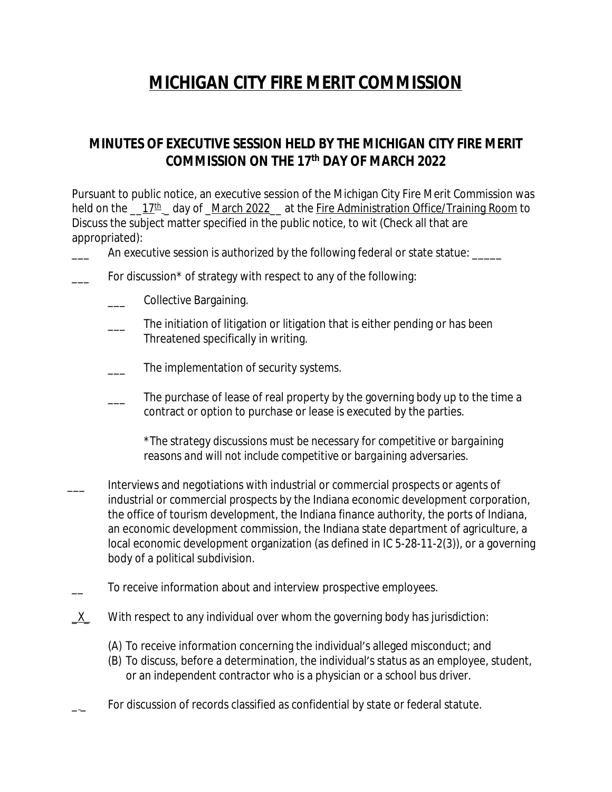## **MICHIGAN CITY FIRE MERIT COMMISSION**

## **MINUTES OF EXECUTIVE SESSION HELD BY THE MICHIGAN CITY FIRE MERIT COMMISSION ON THE 17th DAY OF MARCH 2022**

Pursuant to public notice, an executive session of the Michigan City Fire Merit Commission was held on the  $17<sup>th</sup>$  day of March 2022 at the Fire Administration Office/Training Room to Discuss the subject matter specified in the public notice, to wit (Check all that are appropriated):

An executive session is authorized by the following federal or state statue: \_\_\_\_

- For discussion\* of strategy with respect to any of the following:
	- \_\_\_ Collective Bargaining.
	- The initiation of litigation or litigation that is either pending or has been Threatened specifically in writing.
	- The implementation of security systems.
	- The purchase of lease of real property by the governing body up to the time a contract or option to purchase or lease is executed by the parties.

*\*The strategy discussions must be necessary for competitive or bargaining reasons and will not include competitive or bargaining adversaries.*

- \_\_\_ Interviews and negotiations with industrial or commercial prospects or agents of industrial or commercial prospects by the Indiana economic development corporation, the office of tourism development, the Indiana finance authority, the ports of Indiana, an economic development commission, the Indiana state department of agriculture, a local economic development organization (as defined in IC 5-28-11-2(3)), or a governing body of a political subdivision.
- To receive information about and interview prospective employees.
- X With respect to any individual over whom the governing body has jurisdiction:
	- (A) To receive information concerning the individual's alleged misconduct; and
	- (B) To discuss, before a determination, the individual's status as an employee, student, or an independent contractor who is a physician or a school bus driver.
	- For discussion of records classified as confidential by state or federal statute.